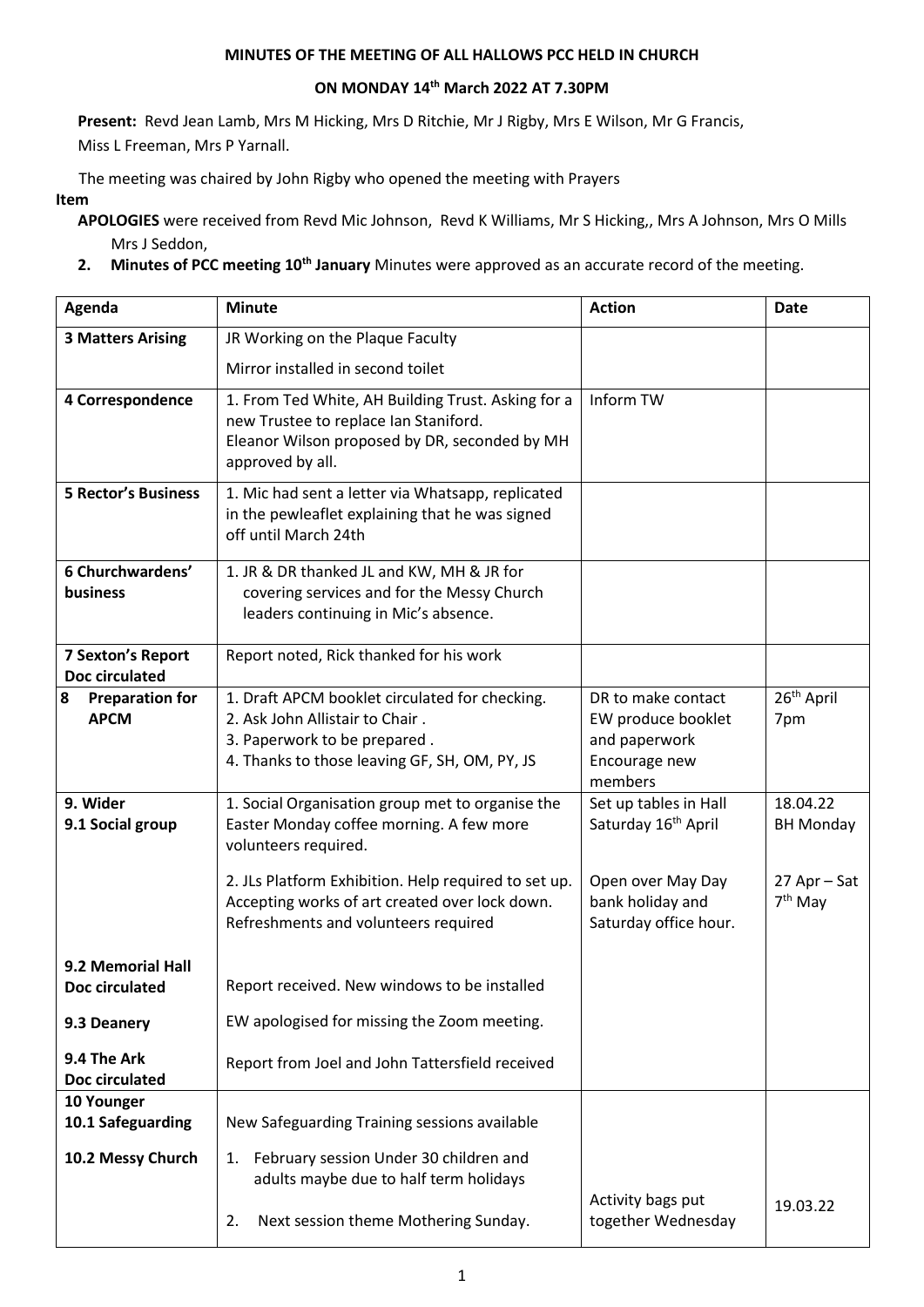## **MINUTES OF THE MEETING OF ALL HALLOWS PCC HELD IN CHURCH**

## **ON MONDAY 14th March 2022 AT 7.30PM**

**Present:** Revd Jean Lamb, Mrs M Hicking, Mrs D Ritchie, Mr J Rigby, Mrs E Wilson, Mr G Francis, Miss L Freeman, Mrs P Yarnall.

The meeting was chaired by John Rigby who opened the meeting with Prayers

## **Item**

**APOLOGIES** were received from Revd Mic Johnson, Revd K Williams, Mr S Hicking,, Mrs A Johnson, Mrs O Mills Mrs J Seddon,

**2. Minutes of PCC meeting 10th January** Minutes were approved as an accurate record of the meeting.

| Agenda                                     | <b>Minute</b>                                                                                                                                                      | <b>Action</b>                                                                         | <b>Date</b>                         |
|--------------------------------------------|--------------------------------------------------------------------------------------------------------------------------------------------------------------------|---------------------------------------------------------------------------------------|-------------------------------------|
| <b>3 Matters Arising</b>                   | JR Working on the Plaque Faculty                                                                                                                                   |                                                                                       |                                     |
|                                            | Mirror installed in second toilet                                                                                                                                  |                                                                                       |                                     |
| 4 Correspondence                           | 1. From Ted White, AH Building Trust. Asking for a<br>new Trustee to replace Ian Staniford.<br>Eleanor Wilson proposed by DR, seconded by MH<br>approved by all.   | Inform TW                                                                             |                                     |
| <b>5 Rector's Business</b>                 | 1. Mic had sent a letter via Whatsapp, replicated<br>in the pewleaflet explaining that he was signed<br>off until March 24th                                       |                                                                                       |                                     |
| 6 Churchwardens'<br>business               | 1. JR & DR thanked JL and KW, MH & JR for<br>covering services and for the Messy Church<br>leaders continuing in Mic's absence.                                    |                                                                                       |                                     |
| <b>7 Sexton's Report</b><br>Doc circulated | Report noted, Rick thanked for his work                                                                                                                            |                                                                                       |                                     |
| <b>Preparation for</b><br>8<br><b>APCM</b> | 1. Draft APCM booklet circulated for checking.<br>2. Ask John Allistair to Chair.<br>3. Paperwork to be prepared.<br>4. Thanks to those leaving GF, SH, OM, PY, JS | DR to make contact<br>EW produce booklet<br>and paperwork<br>Encourage new<br>members | 26 <sup>th</sup> April<br>7pm       |
| 9. Wider<br>9.1 Social group               | 1. Social Organisation group met to organise the<br>Easter Monday coffee morning. A few more<br>volunteers required.                                               | Set up tables in Hall<br>Saturday 16 <sup>th</sup> April                              | 18.04.22<br><b>BH Monday</b>        |
|                                            | 2. JLs Platform Exhibition. Help required to set up.<br>Accepting works of art created over lock down.<br>Refreshments and volunteers required                     | Open over May Day<br>bank holiday and<br>Saturday office hour.                        | 27 Apr - Sat<br>7 <sup>th</sup> May |
| 9.2 Memorial Hall<br>Doc circulated        | Report received. New windows to be installed                                                                                                                       |                                                                                       |                                     |
| 9.3 Deanery                                | EW apologised for missing the Zoom meeting.                                                                                                                        |                                                                                       |                                     |
| 9.4 The Ark<br>Doc circulated              | Report from Joel and John Tattersfield received                                                                                                                    |                                                                                       |                                     |
| 10 Younger<br>10.1 Safeguarding            | New Safeguarding Training sessions available                                                                                                                       |                                                                                       |                                     |
| 10.2 Messy Church                          | February session Under 30 children and<br>1.<br>adults maybe due to half term holidays                                                                             |                                                                                       |                                     |
|                                            | Next session theme Mothering Sunday.<br>2.                                                                                                                         | Activity bags put<br>together Wednesday                                               | 19.03.22                            |